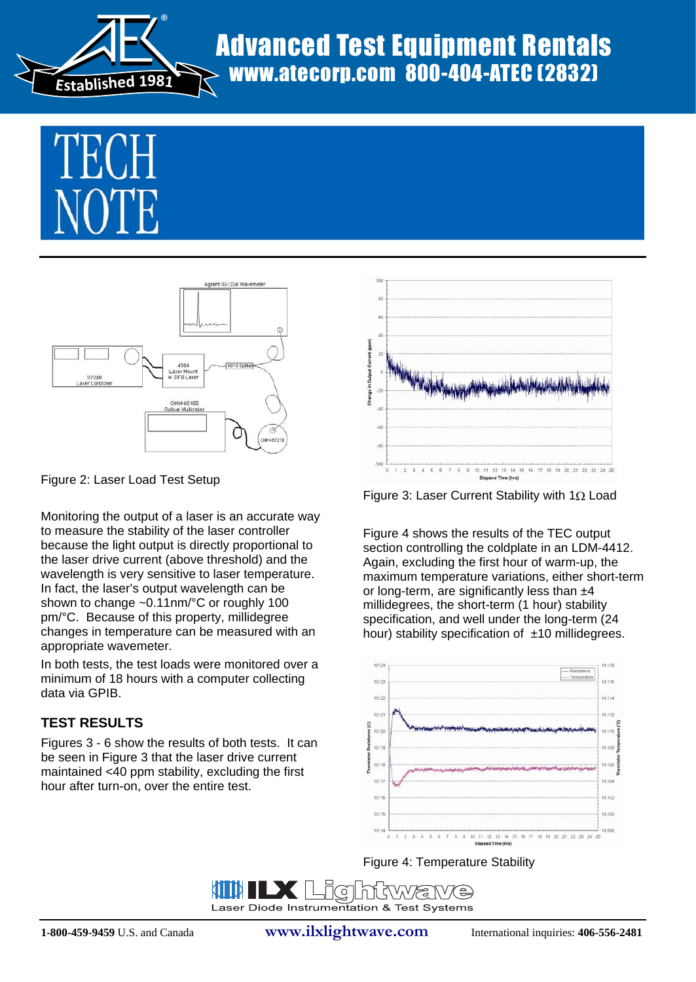

# Advanced Test Equipment Rentals www.atecorp.com 800-404-ATEC (2832)



Figure 2: Laser Load Test Setup

Monitoring the output of a laser is an accurate way to measure the stability of the laser controller because the light output is directly proportional to the laser drive current (above threshold) and the wavelength is very sensitive to laser temperature. In fact, the laser's output wavelength can be shown to change ~0.11nm/°C or roughly 100 pm/°C. Because of this property, millidegree changes in temperature can be measured with an appropriate wavemeter.

In both tests, the test loads were monitored over a minimum of 18 hours with a computer collecting data via GPIB.

## **TEST RESULTS**

Figures 3 - 6 show the results of both tests. It can be seen in Figure 3 that the laser drive current maintained <40 ppm stability, excluding the first hour after turn-on, over the entire test.



Figure 3: Laser Current Stability with 1Ω Load

Figure 4 shows the results of the TEC output section controlling the coldplate in an LDM-4412. Again, excluding the first hour of warm-up, the maximum temperature variations, either short-term or long-term, are significantly less than  $±4$ millidegrees, the short-term (1 hour) stability specification, and well under the long-term (24 hour) stability specification of  $±10$  millidegrees.



Figure 4: Temperature Stability